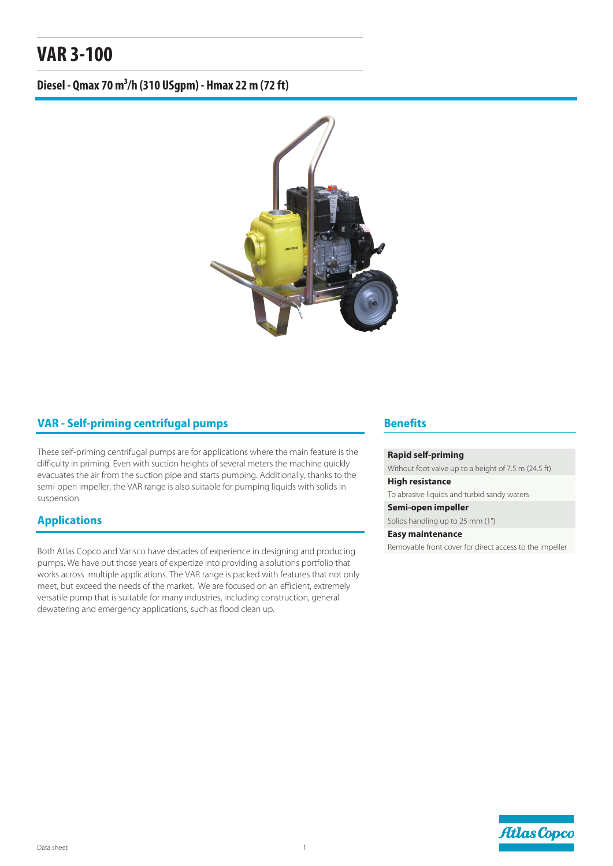### **Diesel - Qmax 70 m³/h (310 USgpm) - Hmax 22 m (72 ft)**



#### **VAR - Self-priming centrifugal pumps**

These self-priming centrifugal pumps are for applications where the main feature is the difficulty in priming. Even with suction heights of several meters the machine quickly evacuates the air from the suction pipe and starts pumping. Additionally, thanks to the semi-open impeller, the VAR range is also suitable for pumping liquids with solids in suspension.

### **Applications**

Both Atlas Copco and Varisco have decades of experience in designing and producing pumps. We have put those years of expertize into providing a solutions portfolio that works across multiple applications. The VAR range is packed with features that not only meet, but exceed the needs of the market. We are focused on an efficient, extremely versatile pump that is suitable for many industries, including construction, general dewatering and emergency applications, such as flood clean up.

#### **Benefits**

**Rapid self-priming**

Without foot valve up to a height of 7.5 m (24.5 ft)

**High resistance**

To abrasive liquids and turbid sandy waters **Semi-open impeller**

Solids handling up to 25 mm (1")

**Easy maintenance**

Removable front cover for direct access to the impeller

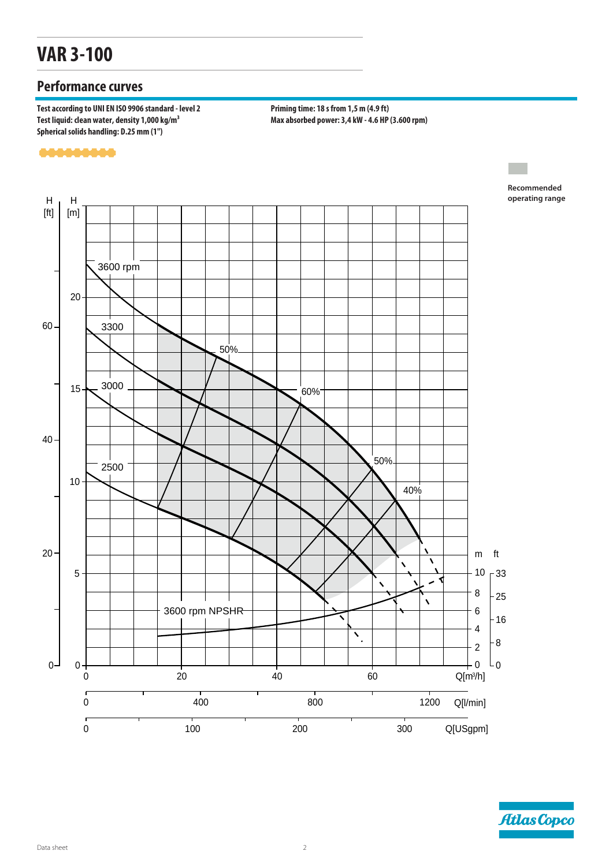### **Performance curves**

**Test according to UNI EN ISO 9906 standard - level 2 Test liquid: clean water, density 1,000 kg/m³ Spherical solids handling: D.25 mm (1")**

**Priming time: 18 s from 1,5 m (4.9 ft) Max absorbed power: 3,4 kW - 4.6 HP (3.600 rpm)**



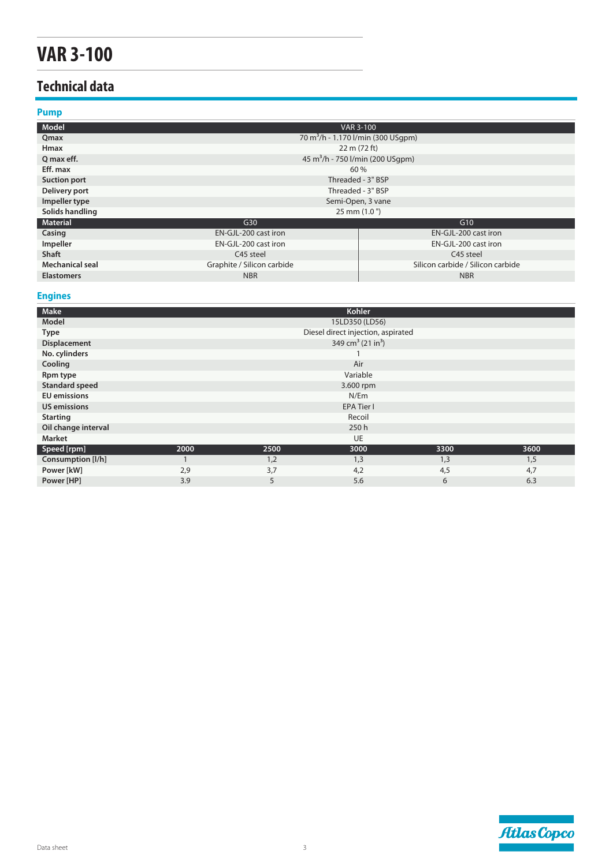### **Technical data**

#### **Pump**

| Model               |                            | <b>VAR 3-100</b>                               |  |  |
|---------------------|----------------------------|------------------------------------------------|--|--|
| Qmax                |                            | 70 m <sup>3</sup> /h - 1.170 l/min (300 USqpm) |  |  |
| Hmax                |                            | 22 m (72 ft)                                   |  |  |
| Q max eff.          |                            | 45 m <sup>3</sup> /h - 750 l/min (200 USgpm)   |  |  |
| Eff. max            |                            | 60 %                                           |  |  |
| <b>Suction port</b> |                            | Threaded - 3" BSP                              |  |  |
| Delivery port       |                            | Threaded - 3" BSP                              |  |  |
| Impeller type       |                            | Semi-Open, 3 vane                              |  |  |
| Solids handling     |                            | 25 mm (1.0")                                   |  |  |
| <b>Material</b>     | G30                        | G10                                            |  |  |
| Casing              | EN-GJL-200 cast iron       | EN-GJL-200 cast iron                           |  |  |
| Impeller            | EN-GJL-200 cast iron       | EN-GJL-200 cast iron                           |  |  |
| <b>Shaft</b>        | C45 steel                  | C45 steel                                      |  |  |
| Mechanical seal     | Graphite / Silicon carbide | Silicon carbide / Silicon carbide              |  |  |
| <b>Elastomers</b>   | <b>NBR</b>                 | <b>NBR</b>                                     |  |  |

### **Engines**

| Make                  | Kohler                                    |           |      |      |      |
|-----------------------|-------------------------------------------|-----------|------|------|------|
| Model                 | 15LD350 (LD56)                            |           |      |      |      |
| <b>Type</b>           | Diesel direct injection, aspirated        |           |      |      |      |
| Displacement          | 349 cm <sup>3</sup> (21 in <sup>3</sup> ) |           |      |      |      |
| No. cylinders         |                                           |           |      |      |      |
| Cooling               | Air                                       |           |      |      |      |
| Rpm type              | Variable                                  |           |      |      |      |
| <b>Standard speed</b> | 3.600 rpm                                 |           |      |      |      |
| <b>EU</b> emissions   | N/Em                                      |           |      |      |      |
| <b>US emissions</b>   | EPA Tier I                                |           |      |      |      |
| <b>Starting</b>       |                                           | Recoil    |      |      |      |
| Oil change interval   |                                           | 250h      |      |      |      |
| <b>Market</b>         |                                           | <b>UE</b> |      |      |      |
| Speed [rpm]           | 2000                                      | 2500      | 3000 | 3300 | 3600 |
| Consumption [l/h]     |                                           | 1,2       | 1,3  | 1,3  | 1,5  |
| Power [kW]            | 2,9                                       | 3,7       | 4,2  | 4,5  | 4,7  |
| Power [HP]            | 3.9                                       | 5         | 5.6  | 6    | 6.3  |